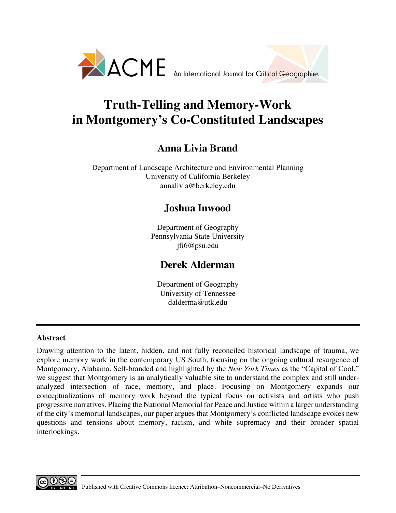

# **Truth-Telling and Memory-Work in Montgomery's Co-Constituted Landscapes**

## **Anna Livia Brand**

Department of Landscape Architecture and Environmental Planning University of California Berkeley annalivia@berkeley.edu

### **Joshua Inwood**

Department of Geography Pennsylvania State University jfi6@psu.edu

### **Derek Alderman**

Department of Geography University of Tennessee dalderma@utk.edu

### **Abstract**

Drawing attention to the latent, hidden, and not fully reconciled historical landscape of trauma, we explore memory work in the contemporary US South, focusing on the ongoing cultural resurgence of Montgomery, Alabama. Self-branded and highlighted by the *New York Times* as the "Capital of Cool," we suggest that Montgomery is an analytically valuable site to understand the complex and still underanalyzed intersection of race, memory, and place. Focusing on Montgomery expands our conceptualizations of memory work beyond the typical focus on activists and artists who push progressive narratives. Placing the National Memorial for Peace and Justice within a larger understanding of the city's memorial landscapes, our paper argues that Montgomery's conflicted landscape evokes new questions and tensions about memory, racism, and white supremacy and their broader spatial interlockings.

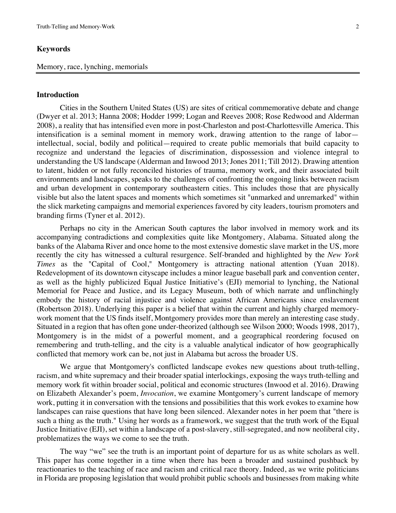#### **Keywords**

#### Memory, race, lynching, memorials

#### **Introduction**

Cities in the Southern United States (US) are sites of critical commemorative debate and change (Dwyer et al. 2013; Hanna 2008; Hodder 1999; Logan and Reeves 2008; Rose Redwood and Alderman 2008), a reality that has intensified even more in post-Charleston and post-Charlottesville America. This intensification is a seminal moment in memory work, drawing attention to the range of labor intellectual, social, bodily and political—required to create public memorials that build capacity to recognize and understand the legacies of discrimination, dispossession and violence integral to understanding the US landscape (Alderman and Inwood 2013; Jones 2011; Till 2012). Drawing attention to latent, hidden or not fully reconciled histories of trauma, memory work, and their associated built environments and landscapes, speaks to the challenges of confronting the ongoing links between racism and urban development in contemporary southeastern cities. This includes those that are physically visible but also the latent spaces and moments which sometimes sit "unmarked and unremarked" within the slick marketing campaigns and memorial experiences favored by city leaders, tourism promoters and branding firms (Tyner et al. 2012).

Perhaps no city in the American South captures the labor involved in memory work and its accompanying contradictions and complexities quite like Montgomery, Alabama. Situated along the banks of the Alabama River and once home to the most extensive domestic slave market in the US, more recently the city has witnessed a cultural resurgence. Self-branded and highlighted by the *New York Times* as the "Capital of Cool," Montgomery is attracting national attention (Yuan 2018). Redevelopment of its downtown cityscape includes a minor league baseball park and convention center, as well as the highly publicized Equal Justice Initiative's (EJI) memorial to lynching, the National Memorial for Peace and Justice, and its Legacy Museum, both of which narrate and unflinchingly embody the history of racial injustice and violence against African Americans since enslavement (Robertson 2018). Underlying this paper is a belief that within the current and highly charged memorywork moment that the US finds itself, Montgomery provides more than merely an interesting case study. Situated in a region that has often gone under-theorized (although see Wilson 2000; Woods 1998, 2017), Montgomery is in the midst of a powerful moment, and a geographical reordering focused on remembering and truth-telling, and the city is a valuable analytical indicator of how geographically conflicted that memory work can be, not just in Alabama but across the broader US.

We argue that Montgomery's conflicted landscape evokes new questions about truth-telling, racism, and white supremacy and their broader spatial interlockings, exposing the ways truth-telling and memory work fit within broader social, political and economic structures (Inwood et al. 2016). Drawing on Elizabeth Alexander's poem, *Invocation*, we examine Montgomery's current landscape of memory work, putting it in conversation with the tensions and possibilities that this work evokes to examine how landscapes can raise questions that have long been silenced. Alexander notes in her poem that "there is such a thing as the truth." Using her words as a framework, we suggest that the truth work of the Equal Justice Initiative (EJI), set within a landscape of a post-slavery, still-segregated, and now neoliberal city, problematizes the ways we come to see the truth.

The way "we" see the truth is an important point of departure for us as white scholars as well. This paper has come together in a time when there has been a broader and sustained pushback by reactionaries to the teaching of race and racism and critical race theory. Indeed, as we write politicians in Florida are proposing legislation that would prohibit public schools and businesses from making white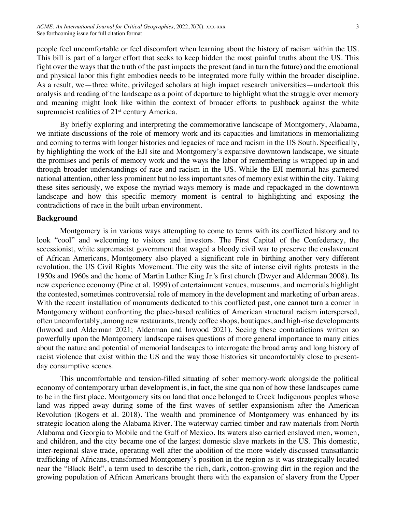people feel uncomfortable or feel discomfort when learning about the history of racism within the US. This bill is part of a larger effort that seeks to keep hidden the most painful truths about the US. This fight over the ways that the truth of the past impacts the present (and in turn the future) and the emotional and physical labor this fight embodies needs to be integrated more fully within the broader discipline. As a result, we—three white, privileged scholars at high impact research universities—undertook this analysis and reading of the landscape as a point of departure to highlight what the struggle over memory and meaning might look like within the context of broader efforts to pushback against the white supremacist realities of  $21<sup>st</sup>$  century America.

By briefly exploring and interpreting the commemorative landscape of Montgomery, Alabama, we initiate discussions of the role of memory work and its capacities and limitations in memorializing and coming to terms with longer histories and legacies of race and racism in the US South. Specifically, by highlighting the work of the EJI site and Montgomery's expansive downtown landscape, we situate the promises and perils of memory work and the ways the labor of remembering is wrapped up in and through broader understandings of race and racism in the US. While the EJI memorial has garnered national attention, other less prominent but no less important sites of memory exist within the city. Taking these sites seriously, we expose the myriad ways memory is made and repackaged in the downtown landscape and how this specific memory moment is central to highlighting and exposing the contradictions of race in the built urban environment.

#### **Background**

Montgomery is in various ways attempting to come to terms with its conflicted history and to look "cool" and welcoming to visitors and investors. The First Capital of the Confederacy, the secessionist, white supremacist government that waged a bloody civil war to preserve the enslavement of African Americans, Montgomery also played a significant role in birthing another very different revolution, the US Civil Rights Movement. The city was the site of intense civil rights protests in the 1950s and 1960s and the home of Martin Luther King Jr.'s first church (Dwyer and Alderman 2008). Its new experience economy (Pine et al. 1999) of entertainment venues, museums, and memorials highlight the contested, sometimes controversial role of memory in the development and marketing of urban areas. With the recent installation of monuments dedicated to this conflicted past, one cannot turn a corner in Montgomery without confronting the place-based realities of American structural racism interspersed, often uncomfortably, among new restaurants, trendy coffee shops, boutiques, and high-rise developments (Inwood and Alderman 2021; Alderman and Inwood 2021). Seeing these contradictions written so powerfully upon the Montgomery landscape raises questions of more general importance to many cities about the nature and potential of memorial landscapes to interrogate the broad array and long history of racist violence that exist within the US and the way those histories sit uncomfortably close to presentday consumptive scenes.

This uncomfortable and tension-filled situating of sober memory-work alongside the political economy of contemporary urban development is, in fact, the sine qua non of how these landscapes came to be in the first place. Montgomery sits on land that once belonged to Creek Indigenous peoples whose land was ripped away during some of the first waves of settler expansionism after the American Revolution (Rogers et al. 2018). The wealth and prominence of Montgomery was enhanced by its strategic location along the Alabama River. The waterway carried timber and raw materials from North Alabama and Georgia to Mobile and the Gulf of Mexico. Its waters also carried enslaved men, women, and children, and the city became one of the largest domestic slave markets in the US. This domestic, inter-regional slave trade, operating well after the abolition of the more widely discussed transatlantic trafficking of Africans, transformed Montgomery's position in the region as it was strategically located near the "Black Belt", a term used to describe the rich, dark, cotton-growing dirt in the region and the growing population of African Americans brought there with the expansion of slavery from the Upper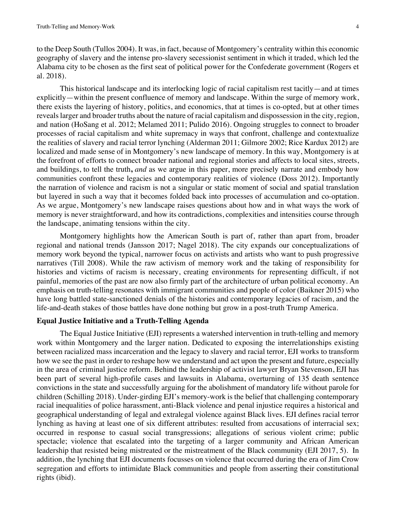to the Deep South (Tullos 2004). It was, in fact, because of Montgomery's centrality within this economic geography of slavery and the intense pro-slavery secessionist sentiment in which it traded, which led the Alabama city to be chosen as the first seat of political power for the Confederate government (Rogers et al. 2018).

This historical landscape and its interlocking logic of racial capitalism rest tacitly—and at times explicitly—within the present confluence of memory and landscape. Within the surge of memory work, there exists the layering of history, politics, and economics, that at times is co-opted, but at other times reveals larger and broader truths about the nature of racial capitalism and dispossession in the city, region, and nation (HoSang et al. 2012; Melamed 2011; Pulido 2016). Ongoing struggles to connect to broader processes of racial capitalism and white supremacy in ways that confront, challenge and contextualize the realities of slavery and racial terror lynching (Alderman 2011; Gilmore 2002; Rice Kardux 2012) are localized and made sense of in Montgomery's new landscape of memory. In this way, Montgomery is at the forefront of efforts to connect broader national and regional stories and affects to local sites, streets, and buildings, to tell the truth**,** *and* as we argue in this paper, more precisely narrate and embody how communities confront these legacies and contemporary realities of violence (Doss 2012). Importantly the narration of violence and racism is not a singular or static moment of social and spatial translation but layered in such a way that it becomes folded back into processes of accumulation and co-optation. As we argue, Montgomery's new landscape raises questions about how and in what ways the work of memory is never straightforward, and how its contradictions, complexities and intensities course through the landscape, animating tensions within the city.

Montgomery highlights how the American South is part of, rather than apart from, broader regional and national trends (Jansson 2017; Nagel 2018). The city expands our conceptualizations of memory work beyond the typical, narrower focus on activists and artists who want to push progressive narratives (Till 2008). While the raw activism of memory work and the taking of responsibility for histories and victims of racism is necessary, creating environments for representing difficult, if not painful, memories of the past are now also firmly part of the architecture of urban political economy. An emphasis on truth-telling resonates with immigrant communities and people of color (Baikner 2015) who have long battled state-sanctioned denials of the histories and contemporary legacies of racism, and the life-and-death stakes of those battles have done nothing but grow in a post-truth Trump America.

#### **Equal Justice Initiative and a Truth-Telling Agenda**

The Equal Justice Initiative (EJI) represents a watershed intervention in truth-telling and memory work within Montgomery and the larger nation. Dedicated to exposing the interrelationships existing between racialized mass incarceration and the legacy to slavery and racial terror, EJI works to transform how we see the past in order to reshape how we understand and act upon the present and future, especially in the area of criminal justice reform. Behind the leadership of activist lawyer Bryan Stevenson, EJI has been part of several high-profile cases and lawsuits in Alabama, overturning of 135 death sentence convictions in the state and successfully arguing for the abolishment of mandatory life without parole for children (Schilling 2018). Under-girding EJI's memory-work is the belief that challenging contemporary racial inequalities of police harassment, anti-Black violence and penal injustice requires a historical and geographical understanding of legal and extralegal violence against Black lives. EJI defines racial terror lynching as having at least one of six different attributes: resulted from accusations of interracial sex; occurred in response to casual social transgressions; allegations of serious violent crime; public spectacle; violence that escalated into the targeting of a larger community and African American leadership that resisted being mistreated or the mistreatment of the Black community (EJI 2017, 5). In addition, the lynching that EJI documents focusses on violence that occurred during the era of Jim Crow segregation and efforts to intimidate Black communities and people from asserting their constitutional rights (ibid).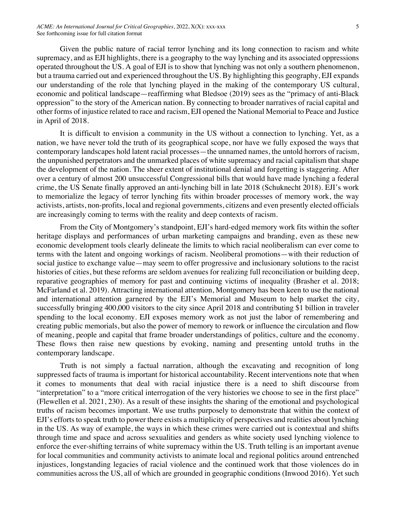Given the public nature of racial terror lynching and its long connection to racism and white supremacy, and as EJI highlights, there is a geography to the way lynching and its associated oppressions operated throughout the US. A goal of EJI is to show that lynching was not only a southern phenomenon, but a trauma carried out and experienced throughout the US. By highlighting this geography, EJI expands our understanding of the role that lynching played in the making of the contemporary US cultural, economic and political landscape—reaffirming what Bledsoe (2019) sees as the "primacy of anti-Black oppression" to the story of the American nation. By connecting to broader narratives of racial capital and other forms of injustice related to race and racism, EJI opened the National Memorial to Peace and Justice in April of 2018.

It is difficult to envision a community in the US without a connection to lynching. Yet, as a nation, we have never told the truth of its geographical scope, nor have we fully exposed the ways that contemporary landscapes hold latent racial processes—the unnamed names, the untold horrors of racism, the unpunished perpetrators and the unmarked places of white supremacy and racial capitalism that shape the development of the nation. The sheer extent of institutional denial and forgetting is staggering. After over a century of almost 200 unsuccessful Congressional bills that would have made lynching a federal crime, the US Senate finally approved an anti-lynching bill in late 2018 (Schuknecht 2018). EJI's work to memorialize the legacy of terror lynching fits within broader processes of memory work, the way activists, artists, non-profits, local and regional governments, citizens and even presently elected officials are increasingly coming to terms with the reality and deep contexts of racism.

From the City of Montgomery's standpoint, EJI's hard-edged memory work fits within the softer heritage displays and performances of urban marketing campaigns and branding, even as these new economic development tools clearly delineate the limits to which racial neoliberalism can ever come to terms with the latent and ongoing workings of racism. Neoliberal promotions—with their reduction of social justice to exchange value—may seem to offer progressive and inclusionary solutions to the racist histories of cities, but these reforms are seldom avenues for realizing full reconciliation or building deep, reparative geographies of memory for past and continuing victims of inequality (Brasher et al. 2018; McFarland et al. 2019). Attracting international attention, Montgomery has been keen to use the national and international attention garnered by the EJI's Memorial and Museum to help market the city, successfully bringing 400,000 visitors to the city since April 2018 and contributing \$1 billion in traveler spending to the local economy. EJI exposes memory work as not just the labor of remembering and creating public memorials, but also the power of memory to rework or influence the circulation and flow of meaning, people and capital that frame broader understandings of politics, culture and the economy. These flows then raise new questions by evoking, naming and presenting untold truths in the contemporary landscape.

Truth is not simply a factual narration, although the excavating and recognition of long suppressed facts of trauma is important for historical accountability. Recent interventions note that when it comes to monuments that deal with racial injustice there is a need to shift discourse from "interpretation" to a "more critical interrogation of the very histories we choose to see in the first place" (Flewellen et al. 2021, 230). As a result of these insights the sharing of the emotional and psychological truths of racism becomes important. We use truths purposely to demonstrate that within the context of EJI's efforts to speak truth to power there exists a multiplicity of perspectives and realities about lynching in the US. As way of example, the ways in which these crimes were carried out is contextual and shifts through time and space and across sexualities and genders as white society used lynching violence to enforce the ever-shifting terrains of white supremacy within the US. Truth telling is an important avenue for local communities and community activists to animate local and regional politics around entrenched injustices, longstanding legacies of racial violence and the continued work that those violences do in communities across the US, all of which are grounded in geographic conditions (Inwood 2016). Yet such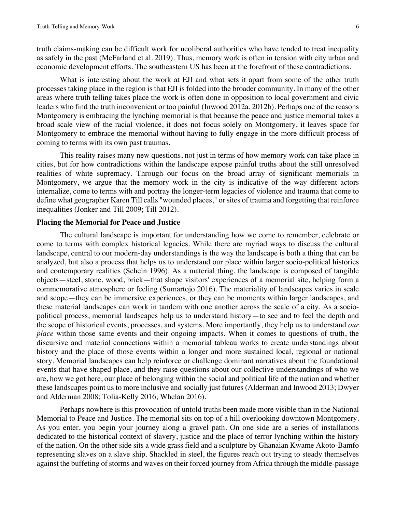truth claims-making can be difficult work for neoliberal authorities who have tended to treat inequality as safely in the past (McFarland et al. 2019). Thus, memory work is often in tension with city urban and economic development efforts. The southeastern US has been at the forefront of these contradictions.

What is interesting about the work at EJI and what sets it apart from some of the other truth processes taking place in the region is that EJI is folded into the broader community. In many of the other areas where truth telling takes place the work is often done in opposition to local government and civic leaders who find the truth inconvenient or too painful (Inwood 2012a, 2012b). Perhaps one of the reasons Montgomery is embracing the lynching memorial is that because the peace and justice memorial takes a broad scale view of the racial violence, it does not focus solely on Montgomery, it leaves space for Montgomery to embrace the memorial without having to fully engage in the more difficult process of coming to terms with its own past traumas.

This reality raises many new questions, not just in terms of how memory work can take place in cities, but for how contradictions within the landscape expose painful truths about the still unresolved realities of white supremacy. Through our focus on the broad array of significant memorials in Montgomery, we argue that the memory work in the city is indicative of the way different actors internalize, come to terms with and portray the longer-term legacies of violence and trauma that come to define what geographer Karen Till calls "wounded places," or sites of trauma and forgetting that reinforce inequalities (Jonker and Till 2009; Till 2012).

#### **Placing the Memorial for Peace and Justice**

The cultural landscape is important for understanding how we come to remember, celebrate or come to terms with complex historical legacies. While there are myriad ways to discuss the cultural landscape, central to our modern-day understandings is the way the landscape is both a thing that can be analyzed, but also a process that helps us to understand our place within larger socio-political histories and contemporary realities (Schein 1996). As a material thing, the landscape is composed of tangible objects—steel, stone, wood, brick—that shape visitors' experiences of a memorial site, helping form a commemorative atmosphere or feeling (Sumartojo 2016). The materiality of landscapes varies in scale and scope—they can be immersive experiences, or they can be moments within larger landscapes, and these material landscapes can work in tandem with one another across the scale of a city. As a sociopolitical process, memorial landscapes help us to understand history—to see and to feel the depth and the scope of historical events, processes, and systems. More importantly, they help us to understand *our place* within those same events and their ongoing impacts. When it comes to questions of truth, the discursive and material connections within a memorial tableau works to create understandings about history and the place of those events within a longer and more sustained local, regional or national story. Memorial landscapes can help reinforce or challenge dominant narratives about the foundational events that have shaped place, and they raise questions about our collective understandings of who we are, how we got here, our place of belonging within the social and political life of the nation and whether these landscapes point us to more inclusive and socially just futures (Alderman and Inwood 2013; Dwyer and Alderman 2008; Tolia-Kelly 2016; Whelan 2016).

Perhaps nowhere is this provocation of untold truths been made more visible than in the National Memorial to Peace and Justice. The memorial sits on top of a hill overlooking downtown Montgomery. As you enter, you begin your journey along a gravel path. On one side are a series of installations dedicated to the historical context of slavery, justice and the place of terror lynching within the history of the nation. On the other side sits a wide grass field and a sculpture by Ghanaian Kwame Akoto-Bamfo representing slaves on a slave ship. Shackled in steel, the figures reach out trying to steady themselves against the buffeting of storms and waves on their forced journey from Africa through the middle-passage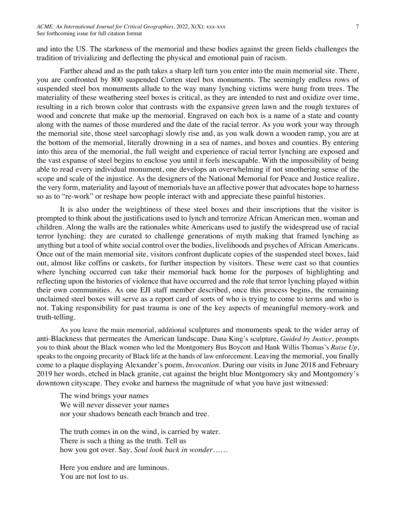and into the US. The starkness of the memorial and these bodies against the green fields challenges the tradition of trivializing and deflecting the physical and emotional pain of racism.

Farther ahead and as the path takes a sharp left turn you enter into the main memorial site. There, you are confronted by 800 suspended Corten steel box monuments. The seemingly endless rows of suspended steel box monuments allude to the way many lynching victims were hung from trees. The materiality of these weathering steel boxes is critical, as they are intended to rust and oxidize over time, resulting in a rich brown color that contrasts with the expansive green lawn and the rough textures of wood and concrete that make up the memorial. Engraved on each box is a name of a state and county along with the names of those murdered and the date of the racial terror. As you work your way through the memorial site, those steel sarcophagi slowly rise and, as you walk down a wooden ramp, you are at the bottom of the memorial, literally drowning in a sea of names, and boxes and counties. By entering into this area of the memorial, the full weight and experience of racial terror lynching are exposed and the vast expanse of steel begins to enclose you until it feels inescapable. With the impossibility of being able to read every individual monument, one develops an overwhelming if not smothering sense of the scope and scale of the injustice. As the designers of the National Memorial for Peace and Justice realize, the very form, materiality and layout of memorials have an affective power that advocates hope to harness so as to "re-work" or reshape how people interact with and appreciate these painful histories.

It is also under the weightiness of these steel boxes and their inscriptions that the visitor is prompted to think about the justifications used to lynch and terrorize African American men, woman and children. Along the walls are the rationales white Americans used to justify the widespread use of racial terror lynching: they are curated to challenge generations of myth making that framed lynching as anything but a tool of white social control over the bodies, livelihoods and psyches of African Americans. Once out of the main memorial site, visitors confront duplicate copies of the suspended steel boxes, laid out, almost like coffins or caskets, for further inspection by visitors. These were cast so that counties where lynching occurred can take their memorial back home for the purposes of highlighting and reflecting upon the histories of violence that have occurred and the role that terror lynching played within their own communities. As one EJI staff member described, once this process begins, the remaining unclaimed steel boxes will serve as a report card of sorts of who is trying to come to terms and who is not. Taking responsibility for past trauma is one of the key aspects of meaningful memory-work and truth-telling.

As you leave the main memorial, additional sculptures and monuments speak to the wider array of anti-Blackness that permeates the American landscape. Dana King's sculpture, *Guided by Justice*, prompts you to think about the Black women who led the Montgomery Bus Boycott and Hank Willis Thomas's *Raise Up*, speaks to the ongoing precarity of Black life at the hands of law enforcement. Leaving the memorial, you finally come to a plaque displaying Alexander's poem, *Invocation*. During our visits in June 2018 and February 2019 her words, etched in black granite, cut against the bright blue Montgomery sky and Montgomery's downtown cityscape. They evoke and harness the magnitude of what you have just witnessed:

The wind brings your names We will never dissever your names nor your shadows beneath each branch and tree.

The truth comes in on the wind, is carried by water. There is such a thing as the truth. Tell us how you got over. Say, *Soul look back in wonder*……

Here you endure and are luminous. You are not lost to us.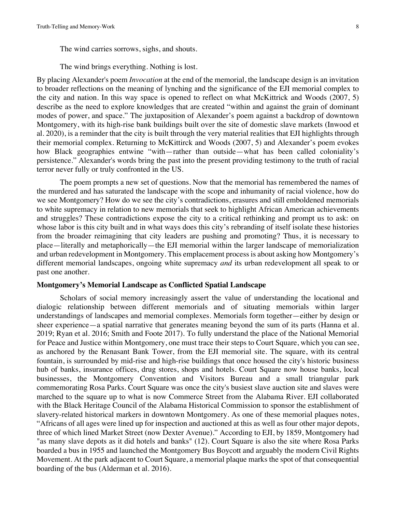The wind carries sorrows, sighs, and shouts.

The wind brings everything. Nothing is lost.

By placing Alexander's poem *Invocation* at the end of the memorial, the landscape design is an invitation to broader reflections on the meaning of lynching and the significance of the EJI memorial complex to the city and nation. In this way space is opened to reflect on what McKittrick and Woods (2007, 5) describe as the need to explore knowledges that are created "within and against the grain of dominant modes of power, and space." The juxtaposition of Alexander's poem against a backdrop of downtown Montgomery, with its high-rise bank buildings built over the site of domestic slave markets (Inwood et al. 2020), is a reminder that the city is built through the very material realities that EJI highlights through their memorial complex. Returning to McKittirck and Woods (2007, 5) and Alexander's poem evokes how Black geographies entwine "with—rather than outside—what has been called coloniality's persistence." Alexander's words bring the past into the present providing testimony to the truth of racial terror never fully or truly confronted in the US.

The poem prompts a new set of questions. Now that the memorial has remembered the names of the murdered and has saturated the landscape with the scope and inhumanity of racial violence, how do we see Montgomery? How do we see the city's contradictions, erasures and still emboldened memorials to white supremacy in relation to new memorials that seek to highlight African American achievements and struggles? These contradictions expose the city to a critical rethinking and prompt us to ask: on whose labor is this city built and in what ways does this city's rebranding of itself isolate these histories from the broader reimagining that city leaders are pushing and promoting? Thus, it is necessary to place—literally and metaphorically—the EJI memorial within the larger landscape of memorialization and urban redevelopment in Montgomery. This emplacement process is about asking how Montgomery's different memorial landscapes, ongoing white supremacy *and* its urban redevelopment all speak to or past one another.

#### **Montgomery's Memorial Landscape as Conflicted Spatial Landscape**

Scholars of social memory increasingly assert the value of understanding the locational and dialogic relationship between different memorials and of situating memorials within larger understandings of landscapes and memorial complexes. Memorials form together—either by design or sheer experience—a spatial narrative that generates meaning beyond the sum of its parts (Hanna et al. 2019; Ryan et al. 2016; Smith and Foote 2017). To fully understand the place of the National Memorial for Peace and Justice within Montgomery, one must trace their steps to Court Square, which you can see, as anchored by the Renasant Bank Tower, from the EJI memorial site. The square, with its central fountain, is surrounded by mid-rise and high-rise buildings that once housed the city's historic business hub of banks, insurance offices, drug stores, shops and hotels. Court Square now house banks, local businesses, the Montgomery Convention and Visitors Bureau and a small triangular park commemorating Rosa Parks. Court Square was once the city's busiest slave auction site and slaves were marched to the square up to what is now Commerce Street from the Alabama River. EJI collaborated with the Black Heritage Council of the Alabama Historical Commission to sponsor the establishment of slavery-related historical markers in downtown Montgomery. As one of these memorial plaques notes, "Africans of all ages were lined up for inspection and auctioned at this as well as four other major depots, three of which lined Market Street (now Dexter Avenue)." According to EJI, by 1859, Montgomery had "as many slave depots as it did hotels and banks" (12). Court Square is also the site where Rosa Parks boarded a bus in 1955 and launched the Montgomery Bus Boycott and arguably the modern Civil Rights Movement. At the park adjacent to Court Square, a memorial plaque marks the spot of that consequential boarding of the bus (Alderman et al. 2016).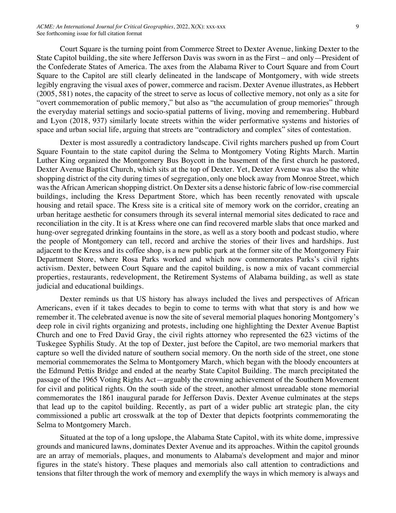Court Square is the turning point from Commerce Street to Dexter Avenue, linking Dexter to the State Capitol building, the site where Jefferson Davis was sworn in as the First – and only—President of the Confederate States of America. The axes from the Alabama River to Court Square and from Court Square to the Capitol are still clearly delineated in the landscape of Montgomery, with wide streets legibly engraving the visual axes of power, commerce and racism. Dexter Avenue illustrates, as Hebbert (2005, 581) notes, the capacity of the street to serve as locus of collective memory, not only as a site for "overt commemoration of public memory," but also as "the accumulation of group memories" through the everyday material settings and socio-spatial patterns of living, moving and remembering. Hubbard and Lyon (2018, 937) similarly locate streets within the wider performative systems and histories of space and urban social life, arguing that streets are "contradictory and complex" sites of contestation.

Dexter is most assuredly a contradictory landscape. Civil rights marchers pushed up from Court Square Fountain to the state capitol during the Selma to Montgomery Voting Rights March. Martin Luther King organized the Montgomery Bus Boycott in the basement of the first church he pastored, Dexter Avenue Baptist Church, which sits at the top of Dexter. Yet, Dexter Avenue was also the white shopping district of the city during times of segregation, only one block away from Monroe Street, which was the African American shopping district. On Dexter sits a dense historic fabric of low-rise commercial buildings, including the Kress Department Store, which has been recently renovated with upscale housing and retail space. The Kress site is a critical site of memory work on the corridor, creating an urban heritage aesthetic for consumers through its several internal memorial sites dedicated to race and reconciliation in the city. It is at Kress where one can find recovered marble slabs that once marked and hung-over segregated drinking fountains in the store, as well as a story booth and podcast studio, where the people of Montgomery can tell, record and archive the stories of their lives and hardships. Just adjacent to the Kress and its coffee shop, is a new public park at the former site of the Montgomery Fair Department Store, where Rosa Parks worked and which now commemorates Parks's civil rights activism. Dexter, between Court Square and the capitol building, is now a mix of vacant commercial properties, restaurants, redevelopment, the Retirement Systems of Alabama building, as well as state judicial and educational buildings.

Dexter reminds us that US history has always included the lives and perspectives of African Americans, even if it takes decades to begin to come to terms with what that story is and how we remember it. The celebrated avenue is now the site of several memorial plaques honoring Montgomery's deep role in civil rights organizing and protests, including one highlighting the Dexter Avenue Baptist Church and one to Fred David Gray, the civil rights attorney who represented the 623 victims of the Tuskegee Syphilis Study. At the top of Dexter, just before the Capitol, are two memorial markers that capture so well the divided nature of southern social memory. On the north side of the street, one stone memorial commemorates the Selma to Montgomery March, which began with the bloody encounters at the Edmund Pettis Bridge and ended at the nearby State Capitol Building. The march precipitated the passage of the 1965 Voting Rights Act—arguably the crowning achievement of the Southern Movement for civil and political rights. On the south side of the street, another almost unreadable stone memorial commemorates the 1861 inaugural parade for Jefferson Davis. Dexter Avenue culminates at the steps that lead up to the capitol building. Recently, as part of a wider public art strategic plan, the city commissioned a public art crosswalk at the top of Dexter that depicts footprints commemorating the Selma to Montgomery March.

Situated at the top of a long upslope, the Alabama State Capitol, with its white dome, impressive grounds and manicured lawns, dominates Dexter Avenue and its approaches. Within the capitol grounds are an array of memorials, plaques, and monuments to Alabama's development and major and minor figures in the state's history. These plaques and memorials also call attention to contradictions and tensions that filter through the work of memory and exemplify the ways in which memory is always and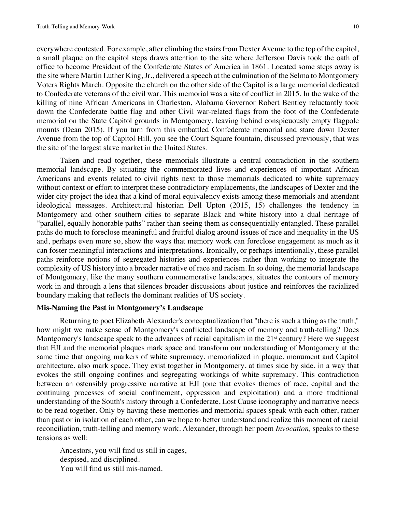everywhere contested. For example, after climbing the stairs from Dexter Avenue to the top of the capitol, a small plaque on the capitol steps draws attention to the site where Jefferson Davis took the oath of office to become President of the Confederate States of America in 1861. Located some steps away is the site where Martin Luther King, Jr., delivered a speech at the culmination of the Selma to Montgomery Voters Rights March. Opposite the church on the other side of the Capitol is a large memorial dedicated to Confederate veterans of the civil war. This memorial was a site of conflict in 2015. In the wake of the killing of nine African Americans in Charleston, Alabama Governor Robert Bentley reluctantly took down the Confederate battle flag and other Civil war-related flags from the foot of the Confederate memorial on the State Capitol grounds in Montgomery, leaving behind conspicuously empty flagpole mounts (Dean 2015). If you turn from this embattled Confederate memorial and stare down Dexter Avenue from the top of Capitol Hill, you see the Court Square fountain, discussed previously, that was the site of the largest slave market in the United States.

Taken and read together, these memorials illustrate a central contradiction in the southern memorial landscape. By situating the commemorated lives and experiences of important African Americans and events related to civil rights next to those memorials dedicated to white supremacy without context or effort to interpret these contradictory emplacements, the landscapes of Dexter and the wider city project the idea that a kind of moral equivalency exists among these memorials and attendant ideological messages. Architectural historian Dell Upton (2015, 15) challenges the tendency in Montgomery and other southern cities to separate Black and white history into a dual heritage of "parallel, equally honorable paths" rather than seeing them as consequentially entangled. These parallel paths do much to foreclose meaningful and fruitful dialog around issues of race and inequality in the US and, perhaps even more so, show the ways that memory work can foreclose engagement as much as it can foster meaningful interactions and interpretations. Ironically, or perhaps intentionally, these parallel paths reinforce notions of segregated histories and experiences rather than working to integrate the complexity of US history into a broader narrative of race and racism. In so doing, the memorial landscape of Montgomery, like the many southern commemorative landscapes, situates the contours of memory work in and through a lens that silences broader discussions about justice and reinforces the racialized boundary making that reflects the dominant realities of US society.

#### **Mis-Naming the Past in Montgomery's Landscape**

Returning to poet Elizabeth Alexander's conceptualization that "there is such a thing as the truth," how might we make sense of Montgomery's conflicted landscape of memory and truth-telling? Does Montgomery's landscape speak to the advances of racial capitalism in the  $21<sup>st</sup>$  century? Here we suggest that EJI and the memorial plaques mark space and transform our understanding of Montgomery at the same time that ongoing markers of white supremacy, memorialized in plaque, monument and Capitol architecture, also mark space. They exist together in Montgomery, at times side by side, in a way that evokes the still ongoing confines and segregating workings of white supremacy. This contradiction between an ostensibly progressive narrative at EJI (one that evokes themes of race, capital and the continuing processes of social confinement, oppression and exploitation) and a more traditional understanding of the South's history through a Confederate, Lost Cause iconography and narrative needs to be read together. Only by having these memories and memorial spaces speak with each other, rather than past or in isolation of each other, can we hope to better understand and realize this moment of racial reconciliation, truth-telling and memory work. Alexander, through her poem *Invocation,* speaks to these tensions as well:

Ancestors, you will find us still in cages, despised, and disciplined. You will find us still mis-named.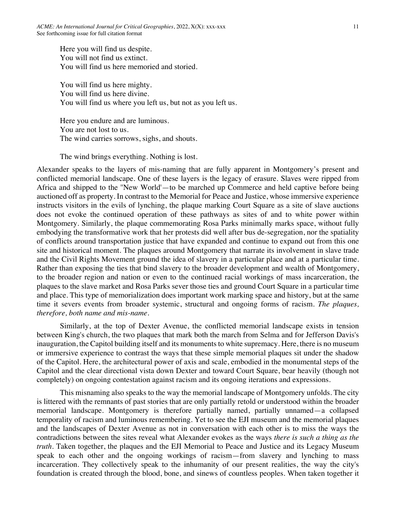Here you will find us despite. You will not find us extinct. You will find us here memoried and storied.

You will find us here mighty. You will find us here divine. You will find us where you left us, but not as you left us.

Here you endure and are luminous. You are not lost to us. The wind carries sorrows, sighs, and shouts.

The wind brings everything. Nothing is lost.

Alexander speaks to the layers of mis-naming that are fully apparent in Montgomery's present and conflicted memorial landscape. One of these layers is the legacy of erasure. Slaves were ripped from Africa and shipped to the ''New World'—to be marched up Commerce and held captive before being auctioned off as property. In contrast to the Memorial for Peace and Justice, whose immersive experience instructs visitors in the evils of lynching, the plaque marking Court Square as a site of slave auctions does not evoke the continued operation of these pathways as sites of and to white power within Montgomery. Similarly, the plaque commemorating Rosa Parks minimally marks space, without fully embodying the transformative work that her protests did well after bus de-segregation, nor the spatiality of conflicts around transportation justice that have expanded and continue to expand out from this one site and historical moment. The plaques around Montgomery that narrate its involvement in slave trade and the Civil Rights Movement ground the idea of slavery in a particular place and at a particular time. Rather than exposing the ties that bind slavery to the broader development and wealth of Montgomery, to the broader region and nation or even to the continued racial workings of mass incarceration, the plaques to the slave market and Rosa Parks sever those ties and ground Court Square in a particular time and place. This type of memorialization does important work marking space and history, but at the same time it severs events from broader systemic, structural and ongoing forms of racism. *The plaques, therefore, both name and mis-name.*

Similarly, at the top of Dexter Avenue, the conflicted memorial landscape exists in tension between King's church, the two plaques that mark both the march from Selma and for Jefferson Davis's inauguration, the Capitol building itself and its monuments to white supremacy. Here, there is no museum or immersive experience to contrast the ways that these simple memorial plaques sit under the shadow of the Capitol. Here, the architectural power of axis and scale, embodied in the monumental steps of the Capitol and the clear directional vista down Dexter and toward Court Square, bear heavily (though not completely) on ongoing contestation against racism and its ongoing iterations and expressions.

This misnaming also speaks to the way the memorial landscape of Montgomery unfolds. The city is littered with the remnants of past stories that are only partially retold or understood within the broader memorial landscape. Montgomery is therefore partially named, partially unnamed—a collapsed temporality of racism and luminous remembering. Yet to see the EJI museum and the memorial plaques and the landscapes of Dexter Avenue as not in conversation with each other is to miss the ways the contradictions between the sites reveal what Alexander evokes as the ways *there is such a thing as the truth.* Taken together, the plaques and the EJI Memorial to Peace and Justice and its Legacy Museum speak to each other and the ongoing workings of racism—from slavery and lynching to mass incarceration. They collectively speak to the inhumanity of our present realities, the way the city's foundation is created through the blood, bone, and sinews of countless peoples. When taken together it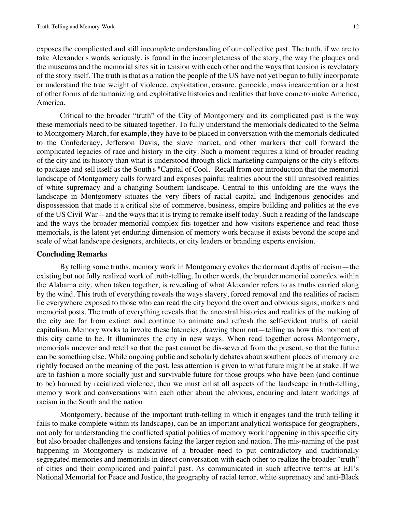exposes the complicated and still incomplete understanding of our collective past. The truth, if we are to take Alexander's words seriously, is found in the incompleteness of the story, the way the plaques and the museums and the memorial sites sit in tension with each other and the ways that tension is revelatory of the story itself. The truth is that as a nation the people of the US have not yet begun to fully incorporate or understand the true weight of violence, exploitation, erasure, genocide, mass incarceration or a host of other forms of dehumanizing and exploitative histories and realities that have come to make America, America.

Critical to the broader "truth" of the City of Montgomery and its complicated past is the way these memorials need to be situated together. To fully understand the memorials dedicated to the Selma to Montgomery March, for example, they have to be placed in conversation with the memorials dedicated to the Confederacy, Jefferson Davis, the slave market, and other markers that call forward the complicated legacies of race and history in the city. Such a moment requires a kind of broader reading of the city and its history than what is understood through slick marketing campaigns or the city's efforts to package and sell itself as the South's "Capital of Cool." Recall from our introduction that the memorial landscape of Montgomery calls forward and exposes painful realities about the still unresolved realities of white supremacy and a changing Southern landscape. Central to this unfolding are the ways the landscape in Montgomery situates the very fibers of racial capital and Indigenous genocides and dispossession that made it a critical site of commerce, business, empire building and politics at the eve of the US Civil War—and the ways that it is trying to remake itself today. Such a reading of the landscape and the ways the broader memorial complex fits together and how visitors experience and read those memorials, is the latent yet enduring dimension of memory work because it exists beyond the scope and scale of what landscape designers, architects, or city leaders or branding experts envision.

#### **Concluding Remarks**

By telling some truths, memory work in Montgomery evokes the dormant depths of racism—the existing but not fully realized work of truth-telling. In other words, the broader memorial complex within the Alabama city, when taken together, is revealing of what Alexander refers to as truths carried along by the wind. This truth of everything reveals the ways slavery, forced removal and the realities of racism lie everywhere exposed to those who can read the city beyond the overt and obvious signs, markers and memorial posts. The truth of everything reveals that the ancestral histories and realities of the making of the city are far from extinct and continue to animate and refresh the self-evident truths of racial capitalism. Memory works to invoke these latencies, drawing them out—telling us how this moment of this city came to be. It illuminates the city in new ways. When read together across Montgomery, memorials uncover and retell so that the past cannot be dis-severed from the present, so that the future can be something else. While ongoing public and scholarly debates about southern places of memory are rightly focused on the meaning of the past, less attention is given to what future might be at stake. If we are to fashion a more socially just and survivable future for those groups who have been (and continue to be) harmed by racialized violence, then we must enlist all aspects of the landscape in truth-telling, memory work and conversations with each other about the obvious, enduring and latent workings of racism in the South and the nation.

Montgomery, because of the important truth-telling in which it engages (and the truth telling it fails to make complete within its landscape), can be an important analytical workspace for geographers, not only for understanding the conflicted spatial politics of memory work happening in this specific city but also broader challenges and tensions facing the larger region and nation. The mis-naming of the past happening in Montgomery is indicative of a broader need to put contradictory and traditionally segregated memories and memorials in direct conversation with each other to realize the broader "truth" of cities and their complicated and painful past. As communicated in such affective terms at EJI's National Memorial for Peace and Justice, the geography of racial terror, white supremacy and anti-Black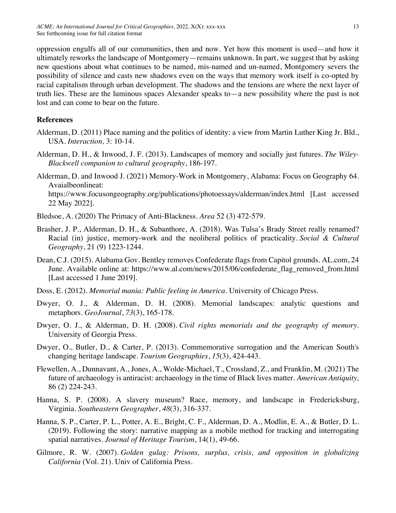oppression engulfs all of our communities, then and now. Yet how this moment is used—and how it ultimately reworks the landscape of Montgomery—remains unknown. In part, we suggest that by asking new questions about what continues to be named, mis-named and un-named, Montgomery severs the possibility of silence and casts new shadows even on the ways that memory work itself is co-opted by racial capitalism through urban development. The shadows and the tensions are where the next layer of truth lies. These are the luminous spaces Alexander speaks to—a new possibility where the past is not lost and can come to bear on the future.

#### **References**

- Alderman, D. (2011) Place naming and the politics of identity: a view from Martin Luther King Jr. Bld., USA. *Interaction,* 3: 10-14.
- Alderman, D. H., & Inwood, J. F. (2013). Landscapes of memory and socially just futures. *The Wiley-Blackwell companion to cultural geography*, 186-197.
- Alderman, D. and Inwood J. (2021) Memory-Work in Montgomery, Alabama: Focus on Geography 64. Avaialbeonlineat: https://www.focusongeography.org/publications/photoessays/alderman/index.html [Last accessed

22 May 2022].

- Bledsoe, A. (2020) The Primacy of Anti-Blackness. *Area* 52 (3) 472-579.
- Brasher, J. P., Alderman, D. H., & Subanthore, A. (2018). Was Tulsa's Brady Street really renamed? Racial (in) justice, memory-work and the neoliberal politics of practicality. *Social & Cultural Geography*, 21 (9) 1223-1244.
- Dean, C.J. (2015). Alabama Gov. Bentley removes Confederate flags from Capitol grounds. AL.com, 24 June. Available online at: https://www.al.com/news/2015/06/confederate\_flag\_removed\_from.html [Last accessed 1 June 2019].
- Doss, E. (2012). *Memorial mania: Public feeling in America*. University of Chicago Press.
- Dwyer, O. J., & Alderman, D. H. (2008). Memorial landscapes: analytic questions and metaphors. *GeoJournal*, *73*(3), 165-178.
- Dwyer, O. J., & Alderman, D. H. (2008). *Civil rights memorials and the geography of memory*. University of Georgia Press.
- Dwyer, O., Butler, D., & Carter, P. (2013). Commemorative surrogation and the American South's changing heritage landscape. *Tourism Geographies*, *15*(3), 424-443.
- Flewellen, A., Dunnavant, A., Jones, A., Wolde-Michael, T., Crossland, Z., and Franklin, M. (2021) The future of archaeology is antiracist: archaeology in the time of Black lives matter. *American Antiquity,*  86 (2) 224-243.
- Hanna, S. P. (2008). A slavery museum? Race, memory, and landscape in Fredericksburg, Virginia. *Southeastern Geographer*, *48*(3), 316-337.
- Hanna, S. P., Carter, P. L., Potter, A. E., Bright, C. F., Alderman, D. A., Modlin, E. A., & Butler, D. L. (2019). Following the story: narrative mapping as a mobile method for tracking and interrogating spatial narratives. *Journal of Heritage Tourism*, 14(1), 49-66.
- Gilmore, R. W. (2007). *Golden gulag: Prisons, surplus, crisis, and opposition in globalizing California* (Vol. 21). Univ of California Press.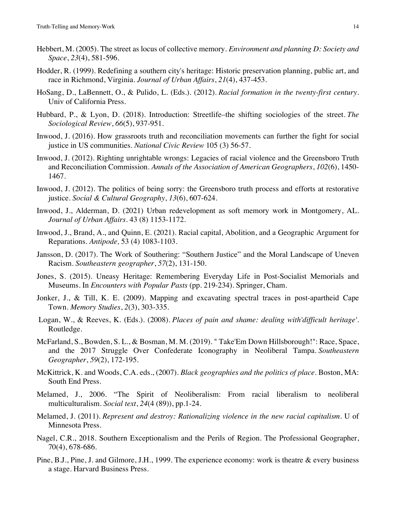- Hebbert, M. (2005). The street as locus of collective memory. *Environment and planning D: Society and Space*, *23*(4), 581-596.
- Hodder, R. (1999). Redefining a southern city's heritage: Historic preservation planning, public art, and race in Richmond, Virginia. *Journal of Urban Affairs*, *21*(4), 437-453.
- HoSang, D., LaBennett, O., & Pulido, L. (Eds.). (2012). *Racial formation in the twenty-first century*. Univ of California Press.
- Hubbard, P., & Lyon, D. (2018). Introduction: Streetlife–the shifting sociologies of the street. *The Sociological Review*, *66*(5), 937-951.
- Inwood, J. (2016). How grassroots truth and reconciliation movements can further the fight for social justice in US communities. *National Civic Review* 105 (3) 56-57.
- Inwood, J. (2012). Righting unrightable wrongs: Legacies of racial violence and the Greensboro Truth and Reconciliation Commission. *Annals of the Association of American Geographers*, *102*(6), 1450- 1467.
- Inwood, J. (2012). The politics of being sorry: the Greensboro truth process and efforts at restorative justice. *Social & Cultural Geography*, *13*(6), 607-624.
- Inwood, J., Alderman, D. (2021) Urban redevelopment as soft memory work in Montgomery, AL. *Journal of Urban Affairs.* 43 (8) 1153-1172.
- Inwood, J., Brand, A., and Quinn, E. (2021). Racial capital, Abolition, and a Geographic Argument for Reparations. *Antipode,* 53 (4) 1083-1103.
- Jansson, D. (2017). The Work of Southering: "Southern Justice" and the Moral Landscape of Uneven Racism. *Southeastern geographer*, *57*(2), 131-150.
- Jones, S. (2015). Uneasy Heritage: Remembering Everyday Life in Post-Socialist Memorials and Museums. In *Encounters with Popular Pasts* (pp. 219-234). Springer, Cham.
- Jonker, J., & Till, K. E. (2009). Mapping and excavating spectral traces in post-apartheid Cape Town. *Memory Studies*, *2*(3), 303-335.
- Logan, W., & Reeves, K. (Eds.). (2008). *Places of pain and shame: dealing with'difficult heritage'*. Routledge.
- McFarland, S., Bowden, S. L., & Bosman, M. M. (2019). " Take'Em Down Hillsborough!": Race, Space, and the 2017 Struggle Over Confederate Iconography in Neoliberal Tampa. *Southeastern Geographer*, *59*(2), 172-195.
- McKittrick, K. and Woods, C.A. eds., (2007). *Black geographies and the politics of place*. Boston, MA: South End Press.
- Melamed, J., 2006. "The Spirit of Neoliberalism: From racial liberalism to neoliberal multiculturalism. *Social text*, *24*(4 (89)), pp.1-24.
- Melamed, J. (2011). *Represent and destroy: Rationalizing violence in the new racial capitalism*. U of Minnesota Press.
- Nagel, C.R., 2018. Southern Exceptionalism and the Perils of Region. The Professional Geographer, 70(4), 678-686.
- Pine, B.J., Pine, J. and Gilmore, J.H., 1999. The experience economy: work is theatre & every business a stage. Harvard Business Press.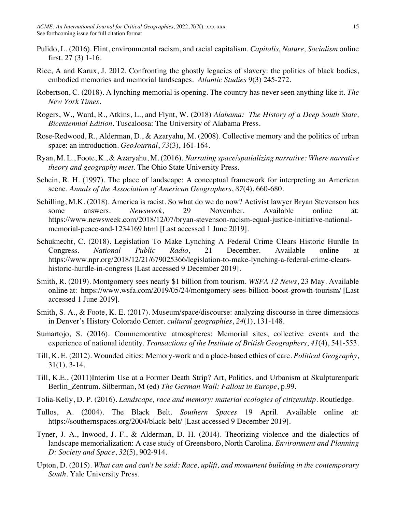- Pulido, L. (2016). Flint, environmental racism, and racial capitalism. *Capitalis, Nature, Socialism* online first. 27 (3) 1-16.
- Rice, A and Karux, J. 2012. Confronting the ghostly legacies of slavery: the politics of black bodies, embodied memories and memorial landscapes. *Atlantic Studies* 9(3) 245-272.
- Robertson, C. (2018). A lynching memorial is opening. The country has never seen anything like it. *The New York Times*.
- Rogers, W., Ward, R., Atkins, L., and Flynt, W. (2018) *Alabama: The History of a Deep South State, Bicentennial Edition.* Tuscaloosa: The University of Alabama Press.
- Rose-Redwood, R., Alderman, D., & Azaryahu, M. (2008). Collective memory and the politics of urban space: an introduction. *GeoJournal*, *73*(3), 161-164.
- Ryan, M. L., Foote, K., & Azaryahu, M. (2016). *Narrating space/spatializing narrative: Where narrative theory and geography meet*. The Ohio State University Press.
- Schein, R. H. (1997). The place of landscape: A conceptual framework for interpreting an American scene. *Annals of the Association of American Geographers*, *87*(4), 660-680.
- Schilling, M.K. (2018). America is racist. So what do we do now? Activist lawyer Bryan Stevenson has some answers. *Newsweek*, 29 November. Available online at: https://www.newsweek.com/2018/12/07/bryan-stevenson-racism-equal-justice-initiative-nationalmemorial-peace-and-1234169.html [Last accessed 1 June 2019].
- Schuknecht, C. (2018). Legislation To Make Lynching A Federal Crime Clears Historic Hurdle In Congress. *National Public Radio*, 21 December. Available online at https://www.npr.org/2018/12/21/679025366/legislation-to-make-lynching-a-federal-crime-clearshistoric-hurdle-in-congress [Last accessed 9 December 2019].
- Smith, R. (2019). Montgomery sees nearly \$1 billion from tourism*. WSFA 12 News*, 23 May. Available online at: https://www.wsfa.com/2019/05/24/montgomery-sees-billion-boost-growth-tourism/ [Last accessed 1 June 2019].
- Smith, S. A., & Foote, K. E. (2017). Museum/space/discourse: analyzing discourse in three dimensions in Denver's History Colorado Center. *cultural geographies*, *24*(1), 131-148.
- Sumartojo, S. (2016). Commemorative atmospheres: Memorial sites, collective events and the experience of national identity. *Transactions of the Institute of British Geographers*, *41*(4), 541-553.
- Till, K. E. (2012). Wounded cities: Memory-work and a place-based ethics of care. *Political Geography*, 31(1), 3-14.
- Till, K.E., (2011)Interim Use at a Former Death Strip? Art, Politics, and Urbanism at Skulpturenpark Berlin\_Zentrum. Silberman, M (ed) *The German Wall: Fallout in Europe*, p.99.
- Tolia-Kelly, D. P. (2016). *Landscape, race and memory: material ecologies of citizenship*. Routledge.
- Tullos, A. (2004). The Black Belt. *Southern Spaces* 19 April. Available online at: https://southernspaces.org/2004/black-belt/ [Last accessed 9 December 2019].
- Tyner, J. A., Inwood, J. F., & Alderman, D. H. (2014). Theorizing violence and the dialectics of landscape memorialization: A case study of Greensboro, North Carolina. *Environment and Planning D: Society and Space*, *32*(5), 902-914.
- Upton, D. (2015). *What can and can't be said: Race, uplift, and monument building in the contemporary South*. Yale University Press.